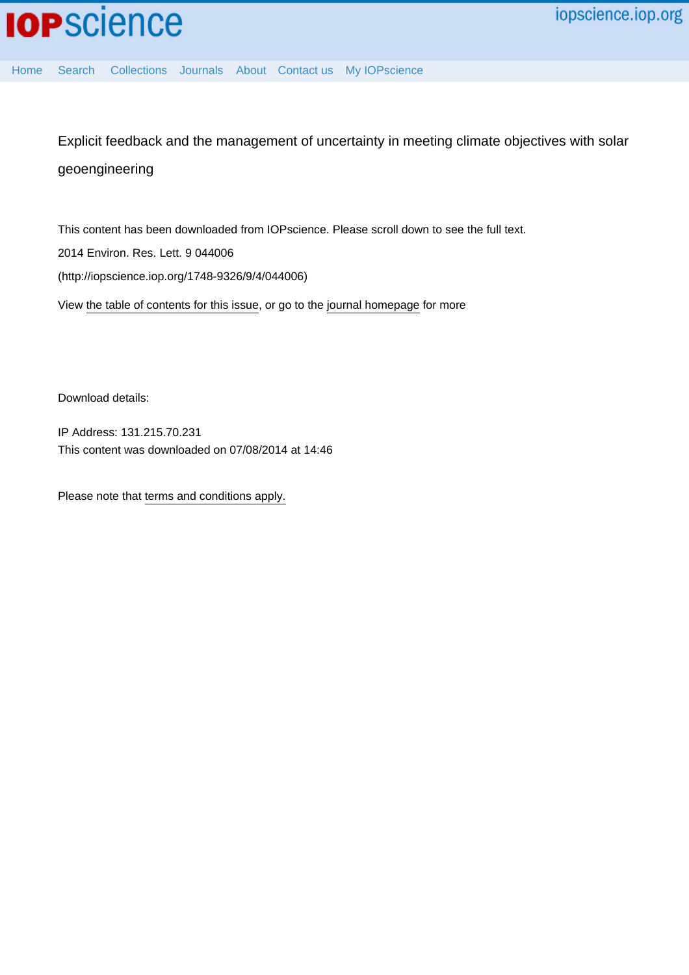

[Home](http://iopscience.iop.org/) [Search](http://iopscience.iop.org/search) [Collections](http://iopscience.iop.org/collections) [Journals](http://iopscience.iop.org/journals) [About](http://iopscience.iop.org/page/aboutioppublishing) [Contact us](http://iopscience.iop.org/contact) [My IOPscience](http://iopscience.iop.org/myiopscience)

Explicit feedback and the management of uncertainty in meeting climate objectives with solar geoengineering

This content has been downloaded from IOPscience. Please scroll down to see the full text. View [the table of contents for this issue](http://iopscience.iop.org/1748-9326/9/4), or go to the [journal homepage](http://iopscience.iop.org/1748-9326) for more 2014 Environ. Res. Lett. 9 044006 (http://iopscience.iop.org/1748-9326/9/4/044006)

Download details:

IP Address: 131.215.70.231 This content was downloaded on 07/08/2014 at 14:46

Please note that [terms and conditions apply.](iopscience.iop.org/page/terms)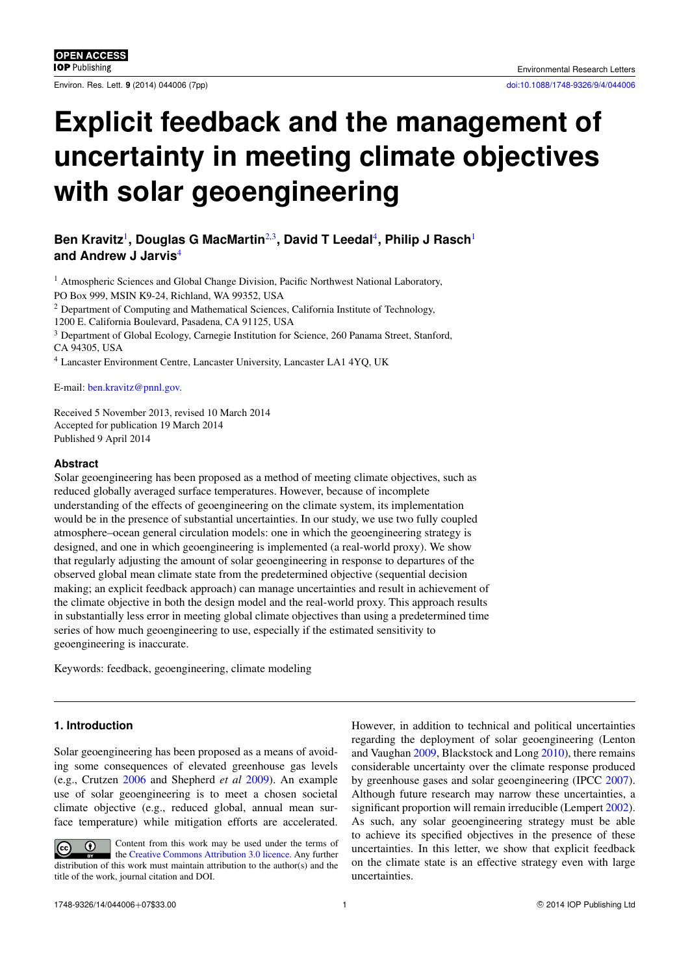Environ. Res. Lett. **9** (2014) 044006 (7pp) [doi:10.1088/1748-9326/9/4/044006](http://dx.doi.org/10.1088/1748-9326/9/4/044006)

# **Explicit feedback and the management of uncertainty in meeting climate objectives with solar geoengineering**

Ben Kravitz<sup>[1](#page-1-0)</sup>, Douglas G MacMartin<sup>[2,](#page-1-1)[3](#page-1-2)</sup>, David T Leedal<sup>[4](#page-1-3)</sup>, Philip J Rasch<sup>1</sup> **and Andrew J Jarvis**[4](#page-1-3)

<span id="page-1-0"></span><sup>1</sup> Atmospheric Sciences and Global Change Division, Pacific Northwest National Laboratory, PO Box 999, MSIN K9-24, Richland, WA 99352, USA

<span id="page-1-1"></span><sup>2</sup> Department of Computing and Mathematical Sciences, California Institute of Technology,

1200 E. California Boulevard, Pasadena, CA 91125, USA

<span id="page-1-2"></span><sup>3</sup> Department of Global Ecology, Carnegie Institution for Science, 260 Panama Street, Stanford, CA 94305, USA

<span id="page-1-3"></span><sup>4</sup> Lancaster Environment Centre, Lancaster University, Lancaster LA1 4YQ, UK

E-mail: [ben.kravitz@pnnl.gov.](mailto:ben.kravitz@pnnl.gov.)

Received 5 November 2013, revised 10 March 2014 Accepted for publication 19 March 2014 Published 9 April 2014

### **Abstract**

Solar geoengineering has been proposed as a method of meeting climate objectives, such as reduced globally averaged surface temperatures. However, because of incomplete understanding of the effects of geoengineering on the climate system, its implementation would be in the presence of substantial uncertainties. In our study, we use two fully coupled atmosphere–ocean general circulation models: one in which the geoengineering strategy is designed, and one in which geoengineering is implemented (a real-world proxy). We show that regularly adjusting the amount of solar geoengineering in response to departures of the observed global mean climate state from the predetermined objective (sequential decision making; an explicit feedback approach) can manage uncertainties and result in achievement of the climate objective in both the design model and the real-world proxy. This approach results in substantially less error in meeting global climate objectives than using a predetermined time series of how much geoengineering to use, especially if the estimated sensitivity to geoengineering is inaccurate.

Keywords: feedback, geoengineering, climate modeling

## **1. Introduction**

Solar geoengineering has been proposed as a means of avoiding some consequences of elevated greenhouse gas levels (e.g., Crutzen [2006](#page-7-0) and Shepherd *et al* [2009\)](#page-7-1). An example use of solar geoengineering is to meet a chosen societal climate objective (e.g., reduced global, annual mean surface temperature) while mitigation efforts are accelerated.

Content from this work may be used under the terms of  $\odot$  $\left(\mathrm{cc}\right)$ the [Creative Commons Attribution 3.0 licence.](http://creativecommons.org/licenses/by/3.0) Any further distribution of this work must maintain attribution to the author(s) and the title of the work, journal citation and DOI.

However, in addition to technical and political uncertainties regarding the deployment of solar geoengineering (Lenton and Vaughan [2009,](#page-7-2) Blackstock and Long [2010\)](#page-7-3), there remains considerable uncertainty over the climate response produced by greenhouse gases and solar geoengineering (IPCC [2007\)](#page-7-4). Although future research may narrow these uncertainties, a significant proportion will remain irreducible (Lempert [2002\)](#page-7-5). As such, any solar geoengineering strategy must be able to achieve its specified objectives in the presence of these uncertainties. In this letter, we show that explicit feedback on the climate state is an effective strategy even with large uncertainties.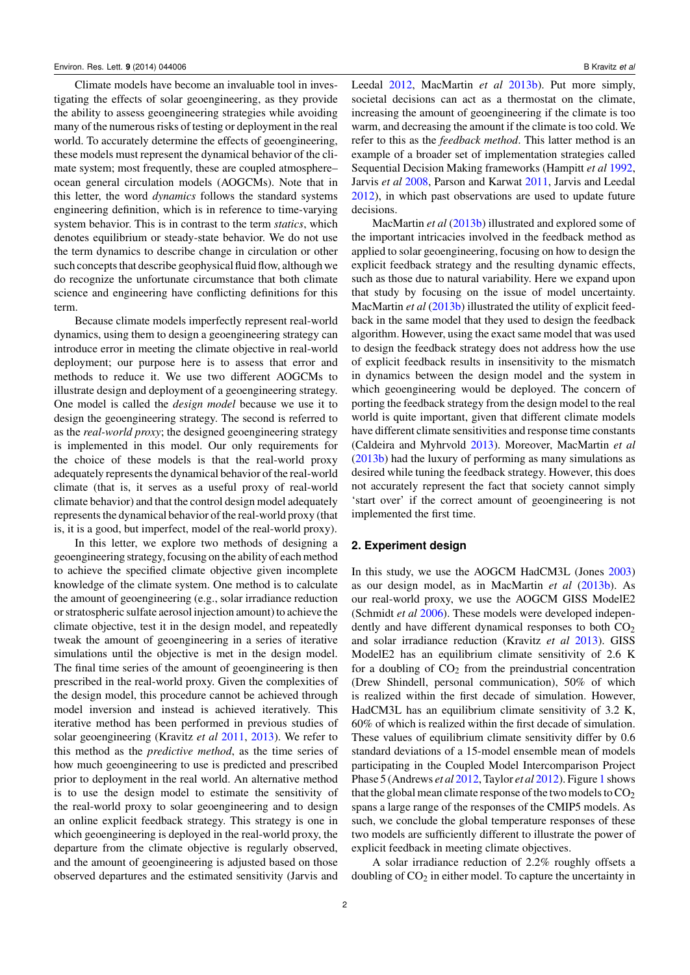Climate models have become an invaluable tool in investigating the effects of solar geoengineering, as they provide the ability to assess geoengineering strategies while avoiding many of the numerous risks of testing or deployment in the real world. To accurately determine the effects of geoengineering, these models must represent the dynamical behavior of the climate system; most frequently, these are coupled atmosphere– ocean general circulation models (AOGCMs). Note that in this letter, the word *dynamics* follows the standard systems engineering definition, which is in reference to time-varying system behavior. This is in contrast to the term *statics*, which denotes equilibrium or steady-state behavior. We do not use the term dynamics to describe change in circulation or other such concepts that describe geophysical fluid flow, although we do recognize the unfortunate circumstance that both climate science and engineering have conflicting definitions for this term.

Because climate models imperfectly represent real-world dynamics, using them to design a geoengineering strategy can introduce error in meeting the climate objective in real-world deployment; our purpose here is to assess that error and methods to reduce it. We use two different AOGCMs to illustrate design and deployment of a geoengineering strategy. One model is called the *design model* because we use it to design the geoengineering strategy. The second is referred to as the *real-world proxy*; the designed geoengineering strategy is implemented in this model. Our only requirements for the choice of these models is that the real-world proxy adequately represents the dynamical behavior of the real-world climate (that is, it serves as a useful proxy of real-world climate behavior) and that the control design model adequately represents the dynamical behavior of the real-world proxy (that is, it is a good, but imperfect, model of the real-world proxy).

In this letter, we explore two methods of designing a geoengineering strategy, focusing on the ability of each method to achieve the specified climate objective given incomplete knowledge of the climate system. One method is to calculate the amount of geoengineering (e.g., solar irradiance reduction or stratospheric sulfate aerosol injection amount) to achieve the climate objective, test it in the design model, and repeatedly tweak the amount of geoengineering in a series of iterative simulations until the objective is met in the design model. The final time series of the amount of geoengineering is then prescribed in the real-world proxy. Given the complexities of the design model, this procedure cannot be achieved through model inversion and instead is achieved iteratively. This iterative method has been performed in previous studies of solar geoengineering (Kravitz *et al* [2011,](#page-7-6) [2013\)](#page-7-7). We refer to this method as the *predictive method*, as the time series of how much geoengineering to use is predicted and prescribed prior to deployment in the real world. An alternative method is to use the design model to estimate the sensitivity of the real-world proxy to solar geoengineering and to design an online explicit feedback strategy. This strategy is one in which geoengineering is deployed in the real-world proxy, the departure from the climate objective is regularly observed, and the amount of geoengineering is adjusted based on those observed departures and the estimated sensitivity (Jarvis and Leedal [2012,](#page-7-8) MacMartin *et al* [2013b\)](#page-7-9). Put more simply, societal decisions can act as a thermostat on the climate, increasing the amount of geoengineering if the climate is too warm, and decreasing the amount if the climate is too cold. We refer to this as the *feedback method*. This latter method is an example of a broader set of implementation strategies called Sequential Decision Making frameworks (Hampitt *et al* [1992,](#page-7-10) Jarvis *et al* [2008,](#page-7-11) Parson and Karwat [2011,](#page-7-12) Jarvis and Leedal [2012\)](#page-7-8), in which past observations are used to update future decisions.

MacMartin *et al* [\(2013b\)](#page-7-9) illustrated and explored some of the important intricacies involved in the feedback method as applied to solar geoengineering, focusing on how to design the explicit feedback strategy and the resulting dynamic effects, such as those due to natural variability. Here we expand upon that study by focusing on the issue of model uncertainty. MacMartin *et al* [\(2013b\)](#page-7-9) illustrated the utility of explicit feedback in the same model that they used to design the feedback algorithm. However, using the exact same model that was used to design the feedback strategy does not address how the use of explicit feedback results in insensitivity to the mismatch in dynamics between the design model and the system in which geoengineering would be deployed. The concern of porting the feedback strategy from the design model to the real world is quite important, given that different climate models have different climate sensitivities and response time constants (Caldeira and Myhrvold [2013\)](#page-7-13). Moreover, MacMartin *et al* [\(2013b\)](#page-7-9) had the luxury of performing as many simulations as desired while tuning the feedback strategy. However, this does not accurately represent the fact that society cannot simply 'start over' if the correct amount of geoengineering is not implemented the first time.

#### <span id="page-2-0"></span>**2. Experiment design**

In this study, we use the AOGCM HadCM3L (Jones [2003\)](#page-7-14) as our design model, as in MacMartin *et al* [\(2013b\)](#page-7-9). As our real-world proxy, we use the AOGCM GISS ModelE2 (Schmidt *et al* [2006\)](#page-7-15). These models were developed independently and have different dynamical responses to both  $CO<sub>2</sub>$ and solar irradiance reduction (Kravitz *et al* [2013\)](#page-7-7). GISS ModelE2 has an equilibrium climate sensitivity of 2.6 K for a doubling of  $CO<sub>2</sub>$  from the preindustrial concentration (Drew Shindell, personal communication), 50% of which is realized within the first decade of simulation. However, HadCM3L has an equilibrium climate sensitivity of 3.2 K, 60% of which is realized within the first decade of simulation. These values of equilibrium climate sensitivity differ by 0.6 standard deviations of a 15-model ensemble mean of models participating in the Coupled Model Intercomparison Project Phase 5 (Andrews *et al* [2012,](#page-7-16) Taylor *et al* [2012\)](#page-7-17). Figure [1](#page-3-0) shows that the global mean climate response of the two models to  $CO<sub>2</sub>$ spans a large range of the responses of the CMIP5 models. As such, we conclude the global temperature responses of these two models are sufficiently different to illustrate the power of explicit feedback in meeting climate objectives.

A solar irradiance reduction of 2.2% roughly offsets a doubling of  $CO<sub>2</sub>$  in either model. To capture the uncertainty in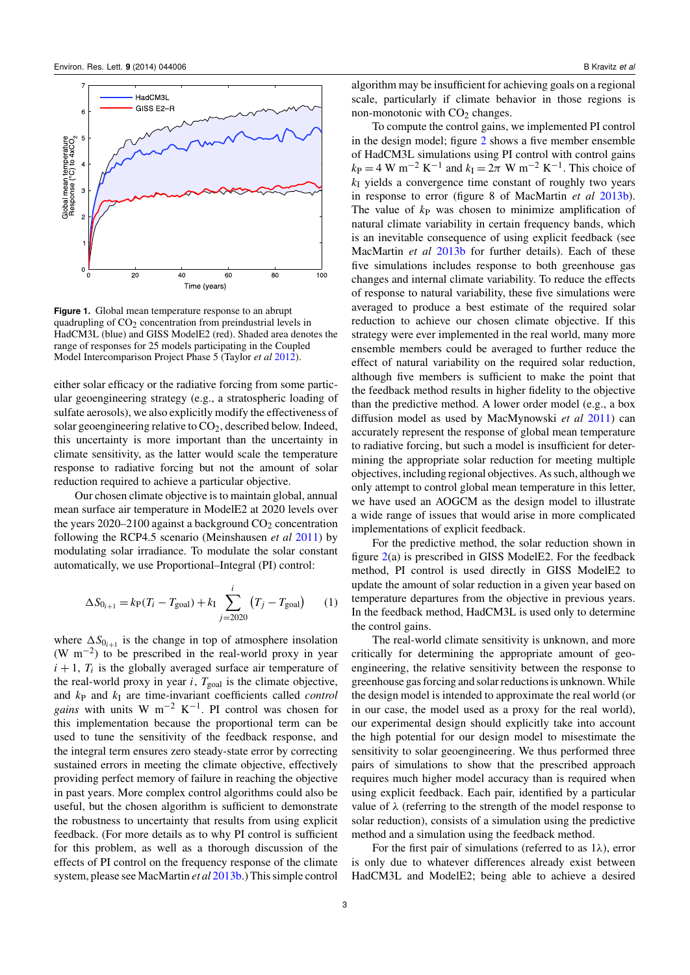<span id="page-3-0"></span>

**Figure 1.** Global mean temperature response to an abrupt quadrupling of  $CO<sub>2</sub>$  concentration from preindustrial levels in HadCM3L (blue) and GISS ModelE2 (red). Shaded area denotes the range of responses for 25 models participating in the Coupled Model Intercomparison Project Phase 5 (Taylor *et al* [2012\)](#page-7-17).

either solar efficacy or the radiative forcing from some particular geoengineering strategy (e.g., a stratospheric loading of sulfate aerosols), we also explicitly modify the effectiveness of solar geoengineering relative to  $CO<sub>2</sub>$ , described below. Indeed, this uncertainty is more important than the uncertainty in climate sensitivity, as the latter would scale the temperature response to radiative forcing but not the amount of solar reduction required to achieve a particular objective.

Our chosen climate objective is to maintain global, annual mean surface air temperature in ModelE2 at 2020 levels over the years  $2020-2100$  against a background  $CO<sub>2</sub>$  concentration following the RCP4.5 scenario (Meinshausen *et al* [2011\)](#page-7-18) by modulating solar irradiance. To modulate the solar constant automatically, we use Proportional–Integral (PI) control:

<span id="page-3-1"></span>
$$
\Delta S_{0_{i+1}} = k_{\rm P}(T_i - T_{\rm goal}) + k_{\rm I} \sum_{j=2020}^{i} (T_j - T_{\rm goal}) \tag{1}
$$

where  $\Delta S_{0_{i+1}}$  is the change in top of atmosphere insolation (W m−<sup>2</sup> ) to be prescribed in the real-world proxy in year  $i + 1$ ,  $T_i$  is the globally averaged surface air temperature of the real-world proxy in year  $i$ ,  $T_{\text{goal}}$  is the climate objective, and *k*<sup>P</sup> and *k*<sup>I</sup> are time-invariant coefficients called *control gains* with units W m<sup>-2</sup> K<sup>-1</sup>. PI control was chosen for this implementation because the proportional term can be used to tune the sensitivity of the feedback response, and the integral term ensures zero steady-state error by correcting sustained errors in meeting the climate objective, effectively providing perfect memory of failure in reaching the objective in past years. More complex control algorithms could also be useful, but the chosen algorithm is sufficient to demonstrate the robustness to uncertainty that results from using explicit feedback. (For more details as to why PI control is sufficient for this problem, as well as a thorough discussion of the effects of PI control on the frequency response of the climate system, please see MacMartin *et al* [2013b.](#page-7-9)) This simple control

algorithm may be insufficient for achieving goals on a regional scale, particularly if climate behavior in those regions is non-monotonic with  $CO<sub>2</sub>$  changes.

To compute the control gains, we implemented PI control in the design model; figure [2](#page-4-0) shows a five member ensemble of HadCM3L simulations using PI control with control gains  $k_{\rm P} = 4 \text{ W m}^{-2} \text{ K}^{-1}$  and  $k_{\rm I} = 2\pi \text{ W m}^{-2} \text{ K}^{-1}$ . This choice of *k*<sup>I</sup> yields a convergence time constant of roughly two years in response to error (figure 8 of MacMartin *et al* [2013b\)](#page-7-9). The value of  $k_P$  was chosen to minimize amplification of natural climate variability in certain frequency bands, which is an inevitable consequence of using explicit feedback (see MacMartin *et al* [2013b](#page-7-9) for further details). Each of these five simulations includes response to both greenhouse gas changes and internal climate variability. To reduce the effects of response to natural variability, these five simulations were averaged to produce a best estimate of the required solar reduction to achieve our chosen climate objective. If this strategy were ever implemented in the real world, many more ensemble members could be averaged to further reduce the effect of natural variability on the required solar reduction, although five members is sufficient to make the point that the feedback method results in higher fidelity to the objective than the predictive method. A lower order model (e.g., a box diffusion model as used by MacMynowski *et al* [2011\)](#page-7-19) can accurately represent the response of global mean temperature to radiative forcing, but such a model is insufficient for determining the appropriate solar reduction for meeting multiple objectives, including regional objectives. As such, although we only attempt to control global mean temperature in this letter, we have used an AOGCM as the design model to illustrate a wide range of issues that would arise in more complicated implementations of explicit feedback.

For the predictive method, the solar reduction shown in figure [2\(](#page-4-0)a) is prescribed in GISS ModelE2. For the feedback method, PI control is used directly in GISS ModelE2 to update the amount of solar reduction in a given year based on temperature departures from the objective in previous years. In the feedback method, HadCM3L is used only to determine the control gains.

The real-world climate sensitivity is unknown, and more critically for determining the appropriate amount of geoengineering, the relative sensitivity between the response to greenhouse gas forcing and solar reductions is unknown.While the design model is intended to approximate the real world (or in our case, the model used as a proxy for the real world), our experimental design should explicitly take into account the high potential for our design model to misestimate the sensitivity to solar geoengineering. We thus performed three pairs of simulations to show that the prescribed approach requires much higher model accuracy than is required when using explicit feedback. Each pair, identified by a particular value of  $\lambda$  (referring to the strength of the model response to solar reduction), consists of a simulation using the predictive method and a simulation using the feedback method.

For the first pair of simulations (referred to as  $1\lambda$ ), error is only due to whatever differences already exist between HadCM3L and ModelE2; being able to achieve a desired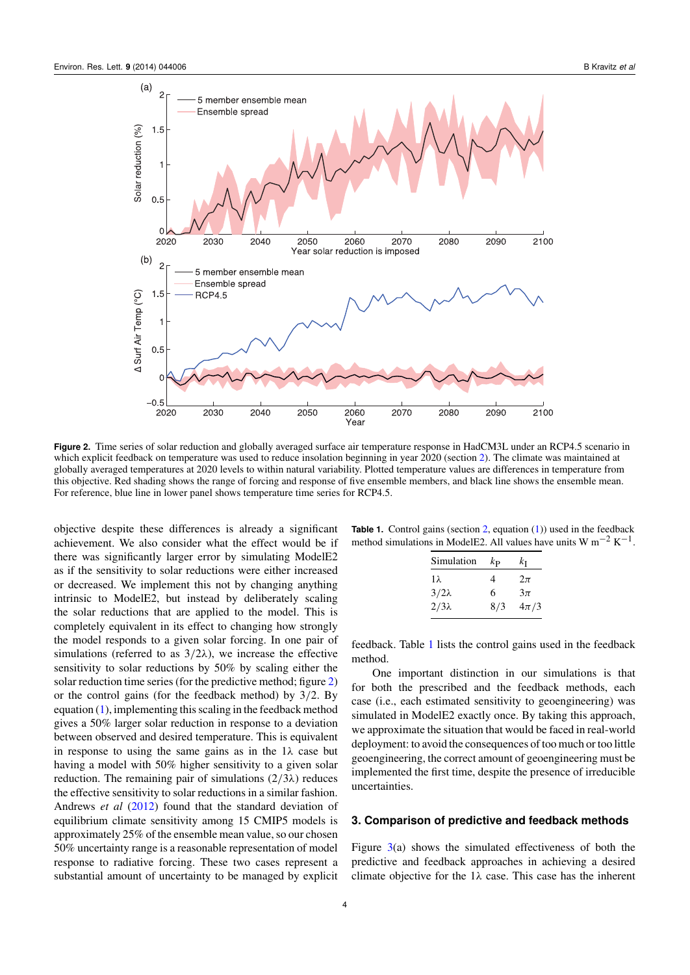<span id="page-4-0"></span>

**Figure 2.** Time series of solar reduction and globally averaged surface air temperature response in HadCM3L under an RCP4.5 scenario in which explicit feedback on temperature was used to reduce insolation beginning in year 2020 (section [2\)](#page-2-0). The climate was maintained at globally averaged temperatures at 2020 levels to within natural variability. Plotted temperature values are differences in temperature from this objective. Red shading shows the range of forcing and response of five ensemble members, and black line shows the ensemble mean. For reference, blue line in lower panel shows temperature time series for RCP4.5.

objective despite these differences is already a significant achievement. We also consider what the effect would be if there was significantly larger error by simulating ModelE2 as if the sensitivity to solar reductions were either increased or decreased. We implement this not by changing anything intrinsic to ModelE2, but instead by deliberately scaling the solar reductions that are applied to the model. This is completely equivalent in its effect to changing how strongly the model responds to a given solar forcing. In one pair of simulations (referred to as  $3/2\lambda$ ), we increase the effective sensitivity to solar reductions by 50% by scaling either the solar reduction time series (for the predictive method; figure [2\)](#page-4-0) or the control gains (for the feedback method) by 3/2. By equation [\(1\)](#page-3-1), implementing this scaling in the feedback method gives a 50% larger solar reduction in response to a deviation between observed and desired temperature. This is equivalent in response to using the same gains as in the  $1\lambda$  case but having a model with 50% higher sensitivity to a given solar reduction. The remaining pair of simulations  $(2/3\lambda)$  reduces the effective sensitivity to solar reductions in a similar fashion. Andrews *et al* [\(2012\)](#page-7-16) found that the standard deviation of equilibrium climate sensitivity among 15 CMIP5 models is approximately 25% of the ensemble mean value, so our chosen 50% uncertainty range is a reasonable representation of model response to radiative forcing. These two cases represent a substantial amount of uncertainty to be managed by explicit

<span id="page-4-1"></span>

| <b>Table 1.</b> Control gains (section 2, equation $(1)$ ) used in the feedback          |  |  |  |
|------------------------------------------------------------------------------------------|--|--|--|
| method simulations in ModelE2. All values have units W m <sup>-2</sup> K <sup>-1</sup> . |  |  |  |

| Simulation   | $k_{\rm P}$ | kт       |
|--------------|-------------|----------|
| 1λ.          | 4           | $2\pi$   |
| $3/2\lambda$ | 6           | $3\pi$   |
| $2/3\lambda$ | 8/3         | $4\pi/3$ |

feedback. Table [1](#page-4-1) lists the control gains used in the feedback method.

One important distinction in our simulations is that for both the prescribed and the feedback methods, each case (i.e., each estimated sensitivity to geoengineering) was simulated in ModelE2 exactly once. By taking this approach, we approximate the situation that would be faced in real-world deployment: to avoid the consequences of too much or too little geoengineering, the correct amount of geoengineering must be implemented the first time, despite the presence of irreducible uncertainties.

#### **3. Comparison of predictive and feedback methods**

Figure  $3(a)$  $3(a)$  shows the simulated effectiveness of both the predictive and feedback approaches in achieving a desired climate objective for the  $1\lambda$  case. This case has the inherent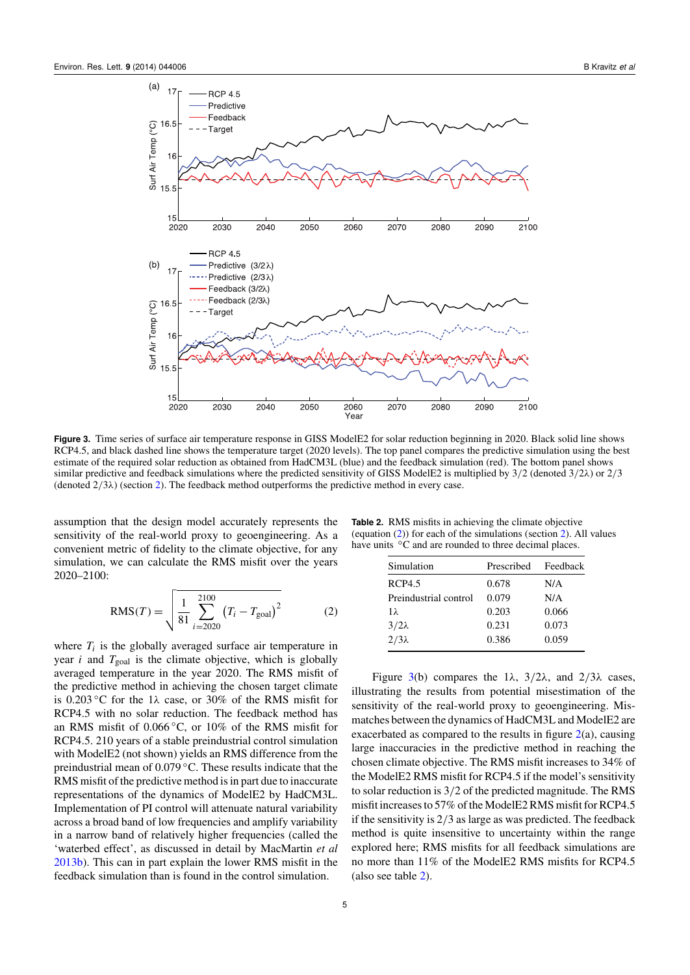<span id="page-5-0"></span>

**Figure 3.** Time series of surface air temperature response in GISS ModelE2 for solar reduction beginning in 2020. Black solid line shows RCP4.5, and black dashed line shows the temperature target (2020 levels). The top panel compares the predictive simulation using the best estimate of the required solar reduction as obtained from HadCM3L (blue) and the feedback simulation (red). The bottom panel shows similar predictive and feedback simulations where the predicted sensitivity of GISS ModelE2 is multiplied by 3/2 (denoted 3/2λ) or 2/3 (denoted  $2/3\lambda$ ) (section [2\)](#page-2-0). The feedback method outperforms the predictive method in every case.

assumption that the design model accurately represents the sensitivity of the real-world proxy to geoengineering. As a convenient metric of fidelity to the climate objective, for any simulation, we can calculate the RMS misfit over the years 2020–2100:

<span id="page-5-1"></span>
$$
RMS(T) = \sqrt{\frac{1}{81} \sum_{i=2020}^{2100} (T_i - T_{\text{goal}})^2}
$$
 (2)

where  $T_i$  is the globally averaged surface air temperature in year  $i$  and  $T_{\text{goal}}$  is the climate objective, which is globally averaged temperature in the year 2020. The RMS misfit of the predictive method in achieving the chosen target climate is 0.203 °C for the 1 $\lambda$  case, or 30% of the RMS misfit for RCP4.5 with no solar reduction. The feedback method has an RMS misfit of 0.066 ◦C, or 10% of the RMS misfit for RCP4.5. 210 years of a stable preindustrial control simulation with ModelE2 (not shown) yields an RMS difference from the preindustrial mean of 0.079 ◦C. These results indicate that the RMS misfit of the predictive method is in part due to inaccurate representations of the dynamics of ModelE2 by HadCM3L. Implementation of PI control will attenuate natural variability across a broad band of low frequencies and amplify variability in a narrow band of relatively higher frequencies (called the 'waterbed effect', as discussed in detail by MacMartin *et al* [2013b\)](#page-7-9). This can in part explain the lower RMS misfit in the feedback simulation than is found in the control simulation.

large inaccuracies in the predictive method in reaching the

<span id="page-5-2"></span>**Table 2.** RMS misfits in achieving the climate objective (equation [\(2\)](#page-5-1)) for each of the simulations (section [2\)](#page-2-0). All values have units <sup>°</sup>C and are rounded to three decimal places.

> Simulation Prescribed Feedback RCP4.5 0.678 N/A Preindustrial control 0.079 N/A 1λ 0.203 0.066  $3/2\lambda$  0.231 0.073  $2/3\lambda$  0.386 0.059

chosen climate objective. The RMS misfit increases to 34% of the ModelE2 RMS misfit for RCP4.5 if the model's sensitivity to solar reduction is 3/2 of the predicted magnitude. The RMS misfit increases to 57% of the ModelE2 RMS misfit for RCP4.5 if the sensitivity is 2/3 as large as was predicted. The feedback method is quite insensitive to uncertainty within the range explored here; RMS misfits for all feedback simulations are no more than 11% of the ModelE2 RMS misfits for RCP4.5 (also see table [2\)](#page-5-2).

Figure [3\(](#page-5-0)b) compares the 1 $\lambda$ , 3/2 $\lambda$ , and 2/3 $\lambda$  cases, illustrating the results from potential misestimation of the sensitivity of the real-world proxy to geoengineering. Mismatches between the dynamics of HadCM3L and ModelE2 are exacerbated as compared to the results in figure  $2(a)$  $2(a)$ , causing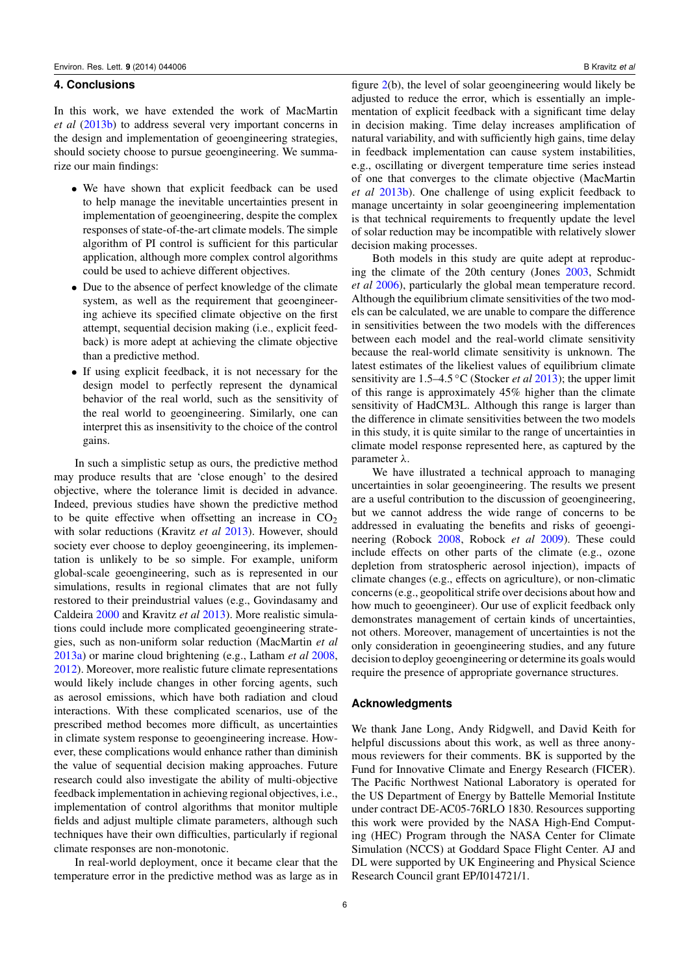#### **4. Conclusions**

In this work, we have extended the work of MacMartin *et al* [\(2013b\)](#page-7-9) to address several very important concerns in the design and implementation of geoengineering strategies, should society choose to pursue geoengineering. We summarize our main findings:

- We have shown that explicit feedback can be used to help manage the inevitable uncertainties present in implementation of geoengineering, despite the complex responses of state-of-the-art climate models. The simple algorithm of PI control is sufficient for this particular application, although more complex control algorithms could be used to achieve different objectives.
- Due to the absence of perfect knowledge of the climate system, as well as the requirement that geoengineering achieve its specified climate objective on the first attempt, sequential decision making (i.e., explicit feedback) is more adept at achieving the climate objective than a predictive method.
- If using explicit feedback, it is not necessary for the design model to perfectly represent the dynamical behavior of the real world, such as the sensitivity of the real world to geoengineering. Similarly, one can interpret this as insensitivity to the choice of the control gains.

In such a simplistic setup as ours, the predictive method may produce results that are 'close enough' to the desired objective, where the tolerance limit is decided in advance. Indeed, previous studies have shown the predictive method to be quite effective when offsetting an increase in  $CO<sub>2</sub>$ with solar reductions (Kravitz *et al* [2013\)](#page-7-7). However, should society ever choose to deploy geoengineering, its implementation is unlikely to be so simple. For example, uniform global-scale geoengineering, such as is represented in our simulations, results in regional climates that are not fully restored to their preindustrial values (e.g., Govindasamy and Caldeira [2000](#page-7-20) and Kravitz *et al* [2013\)](#page-7-7). More realistic simulations could include more complicated geoengineering strategies, such as non-uniform solar reduction (MacMartin *et al* [2013a\)](#page-7-21) or marine cloud brightening (e.g., Latham *et al* [2008,](#page-7-22) [2012\)](#page-7-23). Moreover, more realistic future climate representations would likely include changes in other forcing agents, such as aerosol emissions, which have both radiation and cloud interactions. With these complicated scenarios, use of the prescribed method becomes more difficult, as uncertainties in climate system response to geoengineering increase. However, these complications would enhance rather than diminish the value of sequential decision making approaches. Future research could also investigate the ability of multi-objective feedback implementation in achieving regional objectives, i.e., implementation of control algorithms that monitor multiple fields and adjust multiple climate parameters, although such techniques have their own difficulties, particularly if regional climate responses are non-monotonic.

In real-world deployment, once it became clear that the temperature error in the predictive method was as large as in

figure [2\(](#page-4-0)b), the level of solar geoengineering would likely be adjusted to reduce the error, which is essentially an implementation of explicit feedback with a significant time delay in decision making. Time delay increases amplification of natural variability, and with sufficiently high gains, time delay in feedback implementation can cause system instabilities, e.g., oscillating or divergent temperature time series instead of one that converges to the climate objective (MacMartin *et al* [2013b\)](#page-7-9). One challenge of using explicit feedback to manage uncertainty in solar geoengineering implementation is that technical requirements to frequently update the level of solar reduction may be incompatible with relatively slower decision making processes.

Both models in this study are quite adept at reproducing the climate of the 20th century (Jones [2003,](#page-7-14) Schmidt *et al* [2006\)](#page-7-15), particularly the global mean temperature record. Although the equilibrium climate sensitivities of the two models can be calculated, we are unable to compare the difference in sensitivities between the two models with the differences between each model and the real-world climate sensitivity because the real-world climate sensitivity is unknown. The latest estimates of the likeliest values of equilibrium climate sensitivity are 1.5–4.5 ◦C (Stocker *et al* [2013\)](#page-7-24); the upper limit of this range is approximately 45% higher than the climate sensitivity of HadCM3L. Although this range is larger than the difference in climate sensitivities between the two models in this study, it is quite similar to the range of uncertainties in climate model response represented here, as captured by the parameter λ.

We have illustrated a technical approach to managing uncertainties in solar geoengineering. The results we present are a useful contribution to the discussion of geoengineering, but we cannot address the wide range of concerns to be addressed in evaluating the benefits and risks of geoengineering (Robock [2008,](#page-7-25) Robock *et al* [2009\)](#page-7-26). These could include effects on other parts of the climate (e.g., ozone depletion from stratospheric aerosol injection), impacts of climate changes (e.g., effects on agriculture), or non-climatic concerns (e.g., geopolitical strife over decisions about how and how much to geoengineer). Our use of explicit feedback only demonstrates management of certain kinds of uncertainties, not others. Moreover, management of uncertainties is not the only consideration in geoengineering studies, and any future decision to deploy geoengineering or determine its goals would require the presence of appropriate governance structures.

#### **Acknowledgments**

We thank Jane Long, Andy Ridgwell, and David Keith for helpful discussions about this work, as well as three anonymous reviewers for their comments. BK is supported by the Fund for Innovative Climate and Energy Research (FICER). The Pacific Northwest National Laboratory is operated for the US Department of Energy by Battelle Memorial Institute under contract DE-AC05-76RLO 1830. Resources supporting this work were provided by the NASA High-End Computing (HEC) Program through the NASA Center for Climate Simulation (NCCS) at Goddard Space Flight Center. AJ and DL were supported by UK Engineering and Physical Science Research Council grant EP/I014721/1.